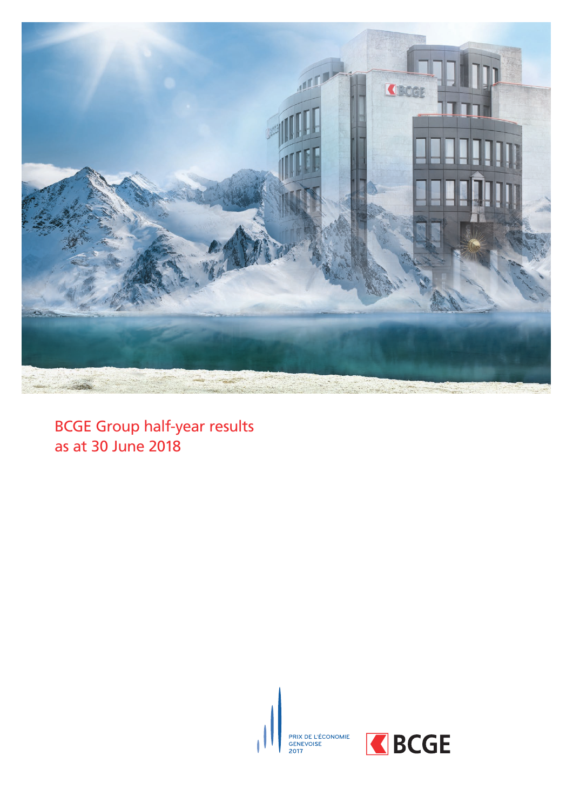

BCGE Group half-year results as at 30 June 2018





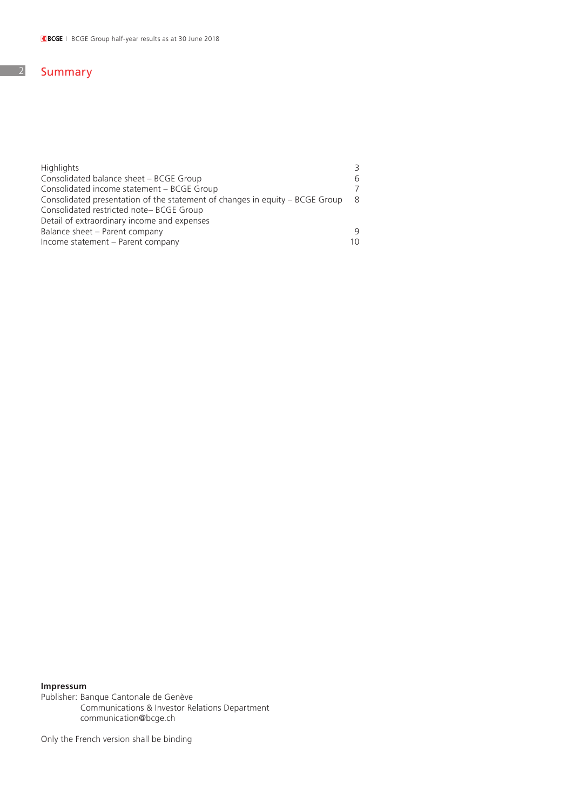## 2 Summary

| <b>Highlights</b>                                                            |     |
|------------------------------------------------------------------------------|-----|
| Consolidated balance sheet - BCGE Group                                      |     |
| Consolidated income statement - BCGE Group                                   |     |
| Consolidated presentation of the statement of changes in equity – BCGE Group | - 8 |
| Consolidated restricted note-BCGE Group                                      |     |
| Detail of extraordinary income and expenses                                  |     |
| Balance sheet - Parent company                                               |     |
| Income statement - Parent company                                            | 10  |

### **Impressum**

Publisher: Banque Cantonale de Genève Communications & Investor Relations Department communication@bcge.ch

Only the French version shall be binding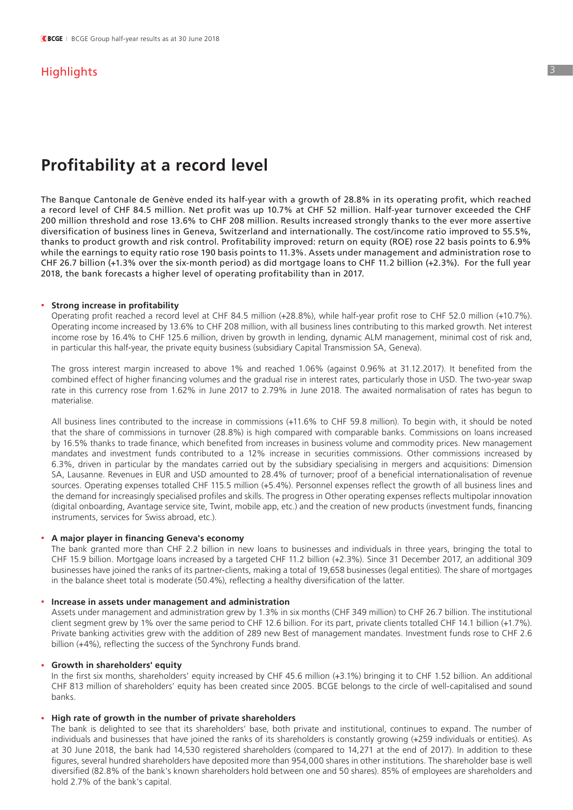## **Highlights**

# **Profitability at a record level**

The Banque Cantonale de Genève ended its half-year with a growth of 28.8% in its operating profit, which reached a record level of CHF 84.5 million. Net profit was up 10.7% at CHF 52 million. Half-year turnover exceeded the CHF 200 million threshold and rose 13.6% to CHF 208 million. Results increased strongly thanks to the ever more assertive diversification of business lines in Geneva, Switzerland and internationally. The cost/income ratio improved to 55.5%, thanks to product growth and risk control. Profitability improved: return on equity (ROE) rose 22 basis points to 6.9% while the earnings to equity ratio rose 190 basis points to 11.3%. Assets under management and administration rose to CHF 26.7 billion (+1.3% over the six-month period) as did mortgage loans to CHF 11.2 billion (+2.3%). For the full year 2018, the bank forecasts a higher level of operating profitability than in 2017.

#### **. Strong increase in profitability**

 Operating profit reached a record level at CHF 84.5 million (+28.8%), while half-year profit rose to CHF 52.0 million (+10.7%). Operating income increased by 13.6% to CHF 208 million, with all business lines contributing to this marked growth. Net interest income rose by 16.4% to CHF 125.6 million, driven by growth in lending, dynamic ALM management, minimal cost of risk and, in particular this half-year, the private equity business (subsidiary Capital Transmission SA, Geneva).

 The gross interest margin increased to above 1% and reached 1.06% (against 0.96% at 31.12.2017). It benefited from the combined effect of higher financing volumes and the gradual rise in interest rates, particularly those in USD. The two-year swap rate in this currency rose from 1.62% in June 2017 to 2.79% in June 2018. The awaited normalisation of rates has begun to materialise.

 All business lines contributed to the increase in commissions (+11.6% to CHF 59.8 million). To begin with, it should be noted that the share of commissions in turnover (28.8%) is high compared with comparable banks. Commissions on loans increased by 16.5% thanks to trade finance, which benefited from increases in business volume and commodity prices. New management mandates and investment funds contributed to a 12% increase in securities commissions. Other commissions increased by 6.3%, driven in particular by the mandates carried out by the subsidiary specialising in mergers and acquisitions: Dimension SA, Lausanne. Revenues in EUR and USD amounted to 28.4% of turnover; proof of a beneficial internationalisation of revenue sources. Operating expenses totalled CHF 115.5 million (+5.4%). Personnel expenses reflect the growth of all business lines and the demand for increasingly specialised profiles and skills. The progress in Other operating expenses reflects multipolar innovation (digital onboarding, Avantage service site, Twint, mobile app, etc.) and the creation of new products (investment funds, financing instruments, services for Swiss abroad, etc.).

### **. A major player in financing Geneva's economy**

 The bank granted more than CHF 2.2 billion in new loans to businesses and individuals in three years, bringing the total to CHF 15.9 billion. Mortgage loans increased by a targeted CHF 11.2 billion (+2.3%). Since 31 December 2017, an additional 309 businesses have joined the ranks of its partner-clients, making a total of 19,658 businesses (legal entities). The share of mortgages in the balance sheet total is moderate (50.4%), reflecting a healthy diversification of the latter.

### **. Increase in assets under management and administration**

 Assets under management and administration grew by 1.3% in six months (CHF 349 million) to CHF 26.7 billion. The institutional client segment grew by 1% over the same period to CHF 12.6 billion. For its part, private clients totalled CHF 14.1 billion (+1.7%). Private banking activities grew with the addition of 289 new Best of management mandates. Investment funds rose to CHF 2.6 billion (+4%), reflecting the success of the Synchrony Funds brand.

#### **. Growth in shareholders' equity**

 In the first six months, shareholders' equity increased by CHF 45.6 million (+3.1%) bringing it to CHF 1.52 billion. An additional CHF 813 million of shareholders' equity has been created since 2005. BCGE belongs to the circle of well-capitalised and sound banks.

### **. High rate of growth in the number of private shareholders**

 The bank is delighted to see that its shareholders' base, both private and institutional, continues to expand. The number of individuals and businesses that have joined the ranks of its shareholders is constantly growing (+259 individuals or entities). As at 30 June 2018, the bank had 14,530 registered shareholders (compared to 14,271 at the end of 2017). In addition to these figures, several hundred shareholders have deposited more than 954,000 shares in other institutions. The shareholder base is well diversified (82.8% of the bank's known shareholders hold between one and 50 shares). 85% of employees are shareholders and hold 2.7% of the bank's capital.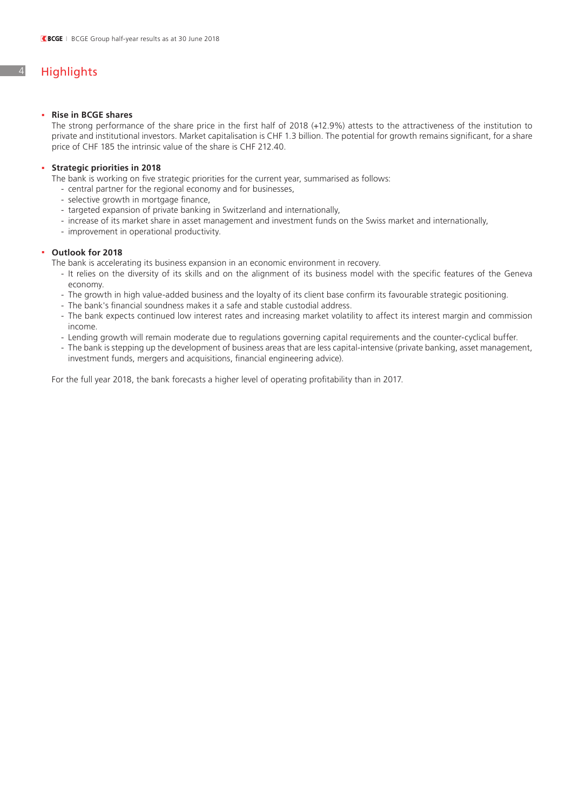## 4 Highlights

### **. Rise in BCGE shares**

 The strong performance of the share price in the first half of 2018 (+12.9%) attests to the attractiveness of the institution to private and institutional investors. Market capitalisation is CHF 1.3 billion. The potential for growth remains significant, for a share price of CHF 185 the intrinsic value of the share is CHF 212.40.

### **. Strategic priorities in 2018**

 The bank is working on five strategic priorities for the current year, summarised as follows:

- central partner for the regional economy and for businesses,
- selective growth in mortgage finance,
- targeted expansion of private banking in Switzerland and internationally,
- increase of its market share in asset management and investment funds on the Swiss market and internationally,
- improvement in operational productivity.

### **. Outlook for 2018**

 The bank is accelerating its business expansion in an economic environment in recovery.

- It relies on the diversity of its skills and on the alignment of its business model with the specific features of the Geneva economy.
- The growth in high value-added business and the loyalty of its client base confirm its favourable strategic positioning.
- The bank's financial soundness makes it a safe and stable custodial address.
- The bank expects continued low interest rates and increasing market volatility to affect its interest margin and commission income.
- Lending growth will remain moderate due to regulations governing capital reguirements and the counter-cyclical buffer.
- The bank is stepping up the development of business areas that are less capital-intensive (private banking, asset management, investment funds, mergers and acquisitions, financial engineering advice).

 For the full year 2018, the bank forecasts a higher level of operating profitability than in 2017.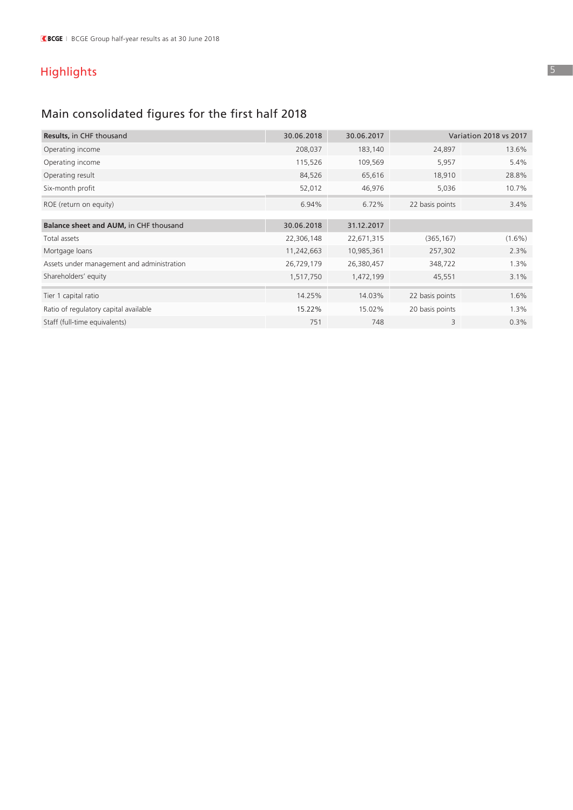# Highlights

# Main consolidated figures for the first half 2018

| <b>Results, in CHF thousand</b>            | 30.06.2018 | 30.06.2017 | <b>Variation 2018 vs 2017</b> |           |  |
|--------------------------------------------|------------|------------|-------------------------------|-----------|--|
| Operating income                           | 208,037    | 183,140    | 24,897                        | 13.6%     |  |
| Operating income                           | 115,526    | 109,569    | 5,957                         | 5.4%      |  |
| Operating result                           | 84,526     | 65,616     | 18,910                        | 28.8%     |  |
| Six-month profit                           | 52,012     | 46,976     | 5,036                         | 10.7%     |  |
| ROE (return on equity)                     | 6.94%      | 6.72%      | 22 basis points               | 3.4%      |  |
| Balance sheet and AUM, in CHF thousand     | 30.06.2018 | 31.12.2017 |                               |           |  |
| Total assets                               | 22,306,148 | 22,671,315 | (365, 167)                    | $(1.6\%)$ |  |
| Mortgage loans                             | 11,242,663 | 10,985,361 | 257,302                       | 2.3%      |  |
| Assets under management and administration | 26,729,179 | 26,380,457 | 348,722                       | 1.3%      |  |
| Shareholders' equity                       | 1,517,750  | 1,472,199  | 45,551                        | 3.1%      |  |
| Tier 1 capital ratio                       | 14.25%     | 14.03%     | 22 basis points               | 1.6%      |  |
| Ratio of regulatory capital available      | 15.22%     | 15.02%     | 20 basis points               | 1.3%      |  |
| Staff (full-time equivalents)              | 751        | 748        | 3                             | 0.3%      |  |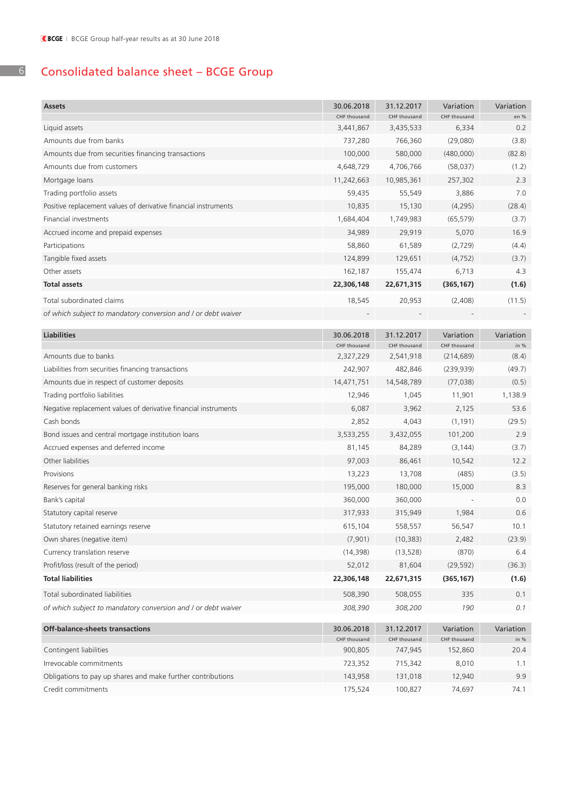# Consolidated balance sheet – BCGE Group

| <b>Assets</b>                                                   | 30.06.2018<br>CHF thousand | 31.12.2017<br>CHF thousand | Variation<br>CHF thousand | Variation<br>en % |
|-----------------------------------------------------------------|----------------------------|----------------------------|---------------------------|-------------------|
| Liquid assets                                                   | 3,441,867                  | 3,435,533                  | 6,334                     | 0.2               |
| Amounts due from banks                                          | 737,280                    | 766,360                    | (29,080)                  | (3.8)             |
| Amounts due from securities financing transactions              | 100,000                    | 580,000                    | (480,000)                 | (82.8)            |
| Amounts due from customers                                      | 4,648,729                  | 4,706,766                  | (58, 037)                 | (1.2)             |
| Mortgage loans                                                  | 11,242,663                 | 10,985,361                 | 257,302                   | 2.3               |
| Trading portfolio assets                                        | 59,435                     | 55,549                     | 3,886                     | 7.0               |
| Positive replacement values of derivative financial instruments | 10,835                     | 15,130                     | (4, 295)                  | (28.4)            |
| Financial investments                                           | 1,684,404                  | 1,749,983                  | (65, 579)                 | (3.7)             |
| Accrued income and prepaid expenses                             | 34,989                     | 29,919                     | 5,070                     | 16.9              |
| Participations                                                  | 58,860                     | 61,589                     | (2,729)                   | (4.4)             |
| Tangible fixed assets                                           | 124,899                    | 129,651                    | (4, 752)                  | (3.7)             |
| Other assets                                                    | 162,187                    | 155,474                    | 6,713                     | 4.3               |
| <b>Total assets</b>                                             | 22,306,148                 | 22,671,315                 | (365, 167)                | (1.6)             |
| Total subordinated claims                                       | 18,545                     | 20,953                     | (2,408)                   | (11.5)            |
| of which subject to mandatory conversion and / or debt waiver   |                            |                            |                           |                   |
|                                                                 |                            |                            |                           |                   |
| <b>Liabilities</b>                                              | 30.06.2018                 | 31.12.2017                 | Variation                 | Variation         |
|                                                                 | CHF thousand               | CHF thousand               | CHF thousand              | in $%$            |
| Amounts due to banks                                            | 2,327,229                  | 2,541,918                  | (214, 689)                | (8.4)             |
| Liabilities from securities financing transactions              | 242,907                    | 482,846                    | (239, 939)                | (49.7)            |
| Amounts due in respect of customer deposits                     | 14,471,751                 | 14,548,789                 | (77, 038)                 | (0.5)             |
| Trading portfolio liabilities                                   | 12,946                     | 1,045                      | 11,901                    | 1,138.9           |
| Negative replacement values of derivative financial instruments | 6,087                      | 3,962                      | 2,125                     | 53.6              |
| Cash bonds                                                      | 2,852                      | 4,043                      | (1, 191)                  | (29.5)            |
| Bond issues and central mortgage institution loans              | 3,533,255                  | 3,432,055                  | 101,200                   | 2.9               |
| Accrued expenses and deferred income                            | 81,145                     | 84,289                     | (3, 144)                  | (3.7)             |
| Other liabilities                                               | 97,003                     | 86,461                     | 10,542                    | 12.2              |
| Provisions                                                      | 13,223                     | 13,708                     | (485)                     | (3.5)             |
| Reserves for general banking risks                              | 195,000                    | 180,000                    | 15,000                    | 8.3               |
| Bank's capital                                                  | 360,000                    | 360,000                    |                           | 0.0               |
| Statutory capital reserve                                       | 317,933                    | 315,949                    | 1,984                     | 0.6               |
| Statutory retained earnings reserve                             | 615,104                    | 558,557                    | 56,547                    | 10.1              |
| Own shares (negative item)                                      | (7,901)                    | (10, 383)                  | 2,482                     | (23.9)            |
| Currency translation reserve                                    | (14, 398)                  | (13, 528)                  | (870)                     | 6.4               |
| Profit/loss (result of the period)                              | 52,012                     | 81,604                     | (29, 592)                 | (36.3)            |
| <b>Total liabilities</b>                                        | 22,306,148                 | 22,671,315                 | (365, 167)                | (1.6)             |
| Total subordinated liabilities                                  | 508,390                    | 508,055                    | 335                       | 0.1               |
| of which subject to mandatory conversion and / or debt waiver   | 308,390                    | 308,200                    | 190                       | 0.1               |
| Off-balance-sheets transactions                                 | 30.06.2018                 | 31.12.2017                 | Variation                 | Variation         |
|                                                                 | CHF thousand               | CHF thousand               | CHF thousand              | in $%$            |
| Contingent liabilities                                          | 900,805                    | 747,945                    | 152,860                   | 20.4              |
| Irrevocable commitments                                         | 723,352                    | 715,342                    | 8,010                     | 1.1               |
| Obligations to pay up shares and make further contributions     | 143,958                    | 131,018                    | 12,940                    | 9.9               |
| Credit commitments                                              | 175,524                    | 100,827                    | 74,697                    | 74.1              |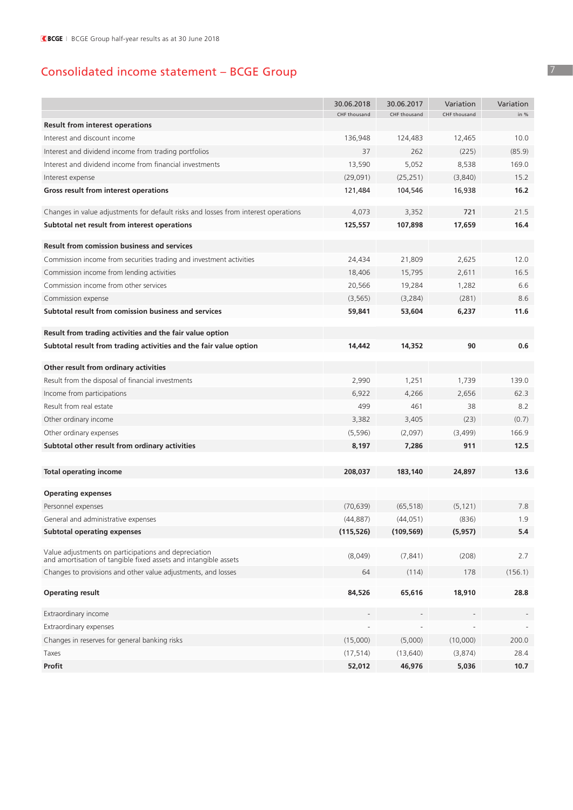# Consolidated income statement – BCGE Group

|                                                                                                                         | 30.06.2018   | 30.06.2017   | Variation    | Variation |
|-------------------------------------------------------------------------------------------------------------------------|--------------|--------------|--------------|-----------|
|                                                                                                                         | CHF thousand | CHF thousand | CHF thousand | in %      |
| <b>Result from interest operations</b>                                                                                  |              |              |              |           |
| Interest and discount income                                                                                            | 136,948      | 124,483      | 12,465       | 10.0      |
| Interest and dividend income from trading portfolios                                                                    | 37           | 262          | (225)        | (85.9)    |
| Interest and dividend income from financial investments                                                                 | 13,590       | 5,052        | 8,538        | 169.0     |
| Interest expense                                                                                                        | (29,091)     | (25, 251)    | (3,840)      | 15.2      |
| Gross result from interest operations                                                                                   | 121,484      | 104,546      | 16,938       | 16.2      |
| Changes in value adjustments for default risks and losses from interest operations                                      | 4,073        | 3,352        | 721          | 21.5      |
| Subtotal net result from interest operations                                                                            | 125,557      | 107,898      | 17,659       | 16.4      |
|                                                                                                                         |              |              |              |           |
| <b>Result from comission business and services</b>                                                                      |              |              |              |           |
| Commission income from securities trading and investment activities                                                     | 24,434       | 21,809       | 2,625        | 12.0      |
| Commission income from lending activities                                                                               | 18,406       | 15,795       | 2,611        | 16.5      |
| Commission income from other services                                                                                   | 20,566       | 19,284       | 1,282        | 6.6       |
| Commission expense                                                                                                      | (3, 565)     | (3,284)      | (281)        | 8.6       |
| Subtotal result from comission business and services                                                                    | 59,841       | 53,604       | 6,237        | 11.6      |
| Result from trading activities and the fair value option                                                                |              |              |              |           |
| Subtotal result from trading activities and the fair value option                                                       | 14,442       | 14,352       | 90           | 0.6       |
| Other result from ordinary activities                                                                                   |              |              |              |           |
| Result from the disposal of financial investments                                                                       | 2,990        | 1,251        | 1,739        | 139.0     |
| Income from participations                                                                                              | 6,922        | 4,266        | 2,656        | 62.3      |
| Result from real estate                                                                                                 | 499          | 461          | 38           | 8.2       |
| Other ordinary income                                                                                                   | 3,382        | 3,405        | (23)         | (0.7)     |
| Other ordinary expenses                                                                                                 | (5, 596)     | (2,097)      | (3, 499)     | 166.9     |
| Subtotal other result from ordinary activities                                                                          | 8,197        | 7,286        | 911          | 12.5      |
|                                                                                                                         |              |              |              |           |
| <b>Total operating income</b>                                                                                           | 208,037      | 183,140      | 24,897       | 13.6      |
| <b>Operating expenses</b>                                                                                               |              |              |              |           |
| Personnel expenses                                                                                                      | (70, 639)    | (65, 518)    | (5, 121)     | 7.8       |
| General and administrative expenses                                                                                     | (44, 887)    | (44, 051)    | (836)        | 1.9       |
| <b>Subtotal operating expenses</b>                                                                                      | (115, 526)   | (109, 569)   | (5, 957)     | 5.4       |
|                                                                                                                         |              |              |              |           |
| Value adjustments on participations and depreciation<br>and amortisation of tangible fixed assets and intangible assets | (8,049)      | (7, 841)     | (208)        | 2.7       |
| Changes to provisions and other value adjustments, and losses                                                           | 64           | (114)        | 178          | (156.1)   |
| <b>Operating result</b>                                                                                                 | 84,526       | 65,616       | 18,910       | 28.8      |
| Extraordinary income                                                                                                    |              |              |              |           |
| Extraordinary expenses                                                                                                  |              |              |              |           |
| Changes in reserves for general banking risks                                                                           | (15,000)     | (5,000)      | (10,000)     | 200.0     |
| Taxes                                                                                                                   | (17, 514)    | (13, 640)    | (3,874)      | 28.4      |
| Profit                                                                                                                  | 52,012       | 46,976       | 5,036        | 10.7      |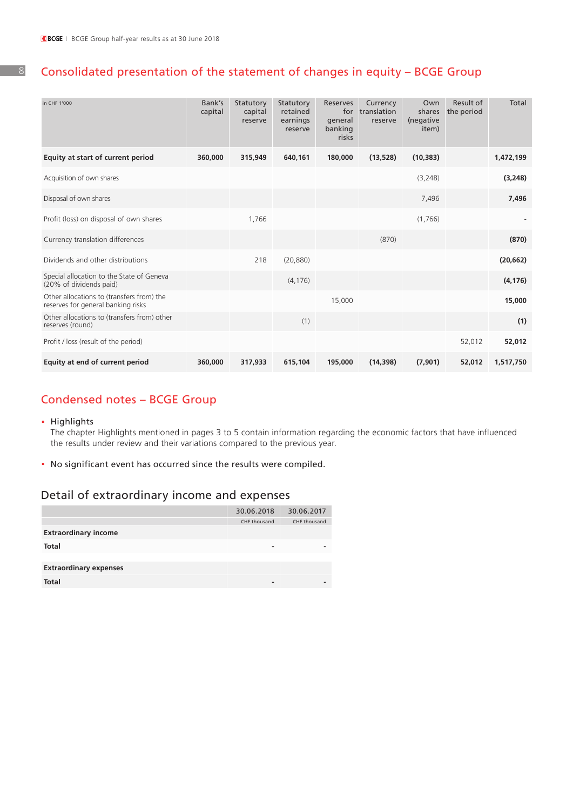8

## Consolidated presentation of the statement of changes in equity – BCGE Group

| in CHF 1'000                                                                    | Bank's<br>capital | Statutory<br>capital<br>reserve | Statutory<br>retained<br>earnings<br>reserve | Reserves<br>for<br>general<br>banking<br>risks | Currency<br>translation<br>reserve | Own<br>shares<br>(negative<br>item) | Result of<br>the period | <b>Total</b> |
|---------------------------------------------------------------------------------|-------------------|---------------------------------|----------------------------------------------|------------------------------------------------|------------------------------------|-------------------------------------|-------------------------|--------------|
| Equity at start of current period                                               | 360,000           | 315,949                         | 640,161                                      | 180,000                                        | (13, 528)                          | (10, 383)                           |                         | 1,472,199    |
| Acquisition of own shares                                                       |                   |                                 |                                              |                                                |                                    | (3,248)                             |                         | (3, 248)     |
| Disposal of own shares                                                          |                   |                                 |                                              |                                                |                                    | 7,496                               |                         | 7,496        |
| Profit (loss) on disposal of own shares                                         |                   | 1,766                           |                                              |                                                |                                    | (1,766)                             |                         |              |
| Currency translation differences                                                |                   |                                 |                                              |                                                | (870)                              |                                     |                         | (870)        |
| Dividends and other distributions                                               |                   | 218                             | (20, 880)                                    |                                                |                                    |                                     |                         | (20, 662)    |
| Special allocation to the State of Geneva<br>(20% of dividends paid)            |                   |                                 | (4, 176)                                     |                                                |                                    |                                     |                         | (4, 176)     |
| Other allocations to (transfers from) the<br>reserves for general banking risks |                   |                                 |                                              | 15,000                                         |                                    |                                     |                         | 15,000       |
| Other allocations to (transfers from) other<br>reserves (round)                 |                   |                                 | (1)                                          |                                                |                                    |                                     |                         | (1)          |
| Profit / loss (result of the period)                                            |                   |                                 |                                              |                                                |                                    |                                     | 52,012                  | 52,012       |
| Equity at end of current period                                                 | 360,000           | 317,933                         | 615,104                                      | 195,000                                        | (14, 398)                          | (7,901)                             | 52,012                  | 1,517,750    |

## Condensed notes – BCGE Group

### **.** Highlights

 The chapter Highlights mentioned in pages 3 to 5 contain information regarding the economic factors that have influenced the results under review and their variations compared to the previous year.

**.** No significant event has occurred since the results were compiled.

## Detail of extraordinary income and expenses

|                               | 30.06.2018   | 30.06.2017   |
|-------------------------------|--------------|--------------|
|                               | CHF thousand | CHF thousand |
| <b>Extraordinary income</b>   |              |              |
| <b>Total</b>                  | -            | -            |
|                               |              |              |
| <b>Extraordinary expenses</b> |              |              |
| <b>Total</b>                  | -            |              |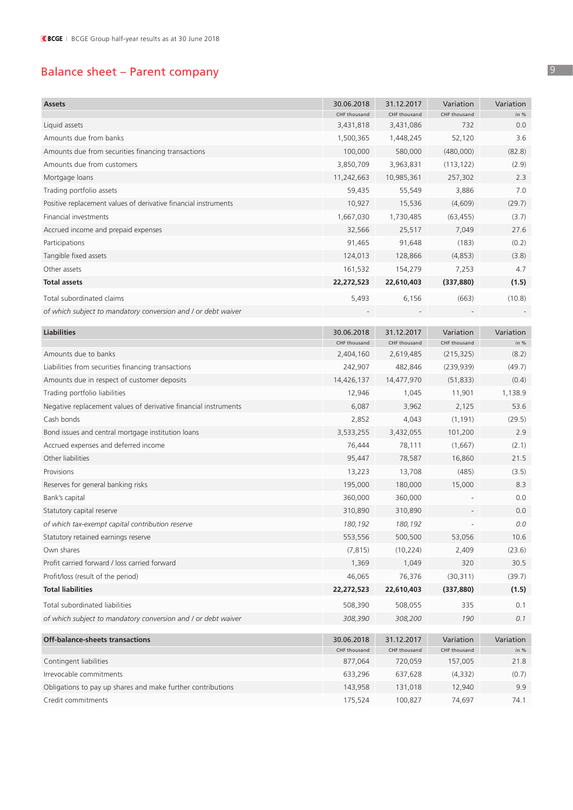# Balance sheet – Parent company

| <b>Assets</b>                                                   | 30.06.2018                 | 31.12.2017                 | Variation                 | Variation           |
|-----------------------------------------------------------------|----------------------------|----------------------------|---------------------------|---------------------|
| Liquid assets                                                   | CHF thousand<br>3,431,818  | CHF thousand<br>3,431,086  | CHF thousand<br>732       | in %<br>0.0         |
| Amounts due from banks                                          | 1,500,365                  | 1,448,245                  | 52,120                    | 3.6                 |
| Amounts due from securities financing transactions              | 100,000                    | 580,000                    | (480,000)                 | (82.8)              |
| Amounts due from customers                                      | 3,850,709                  | 3,963,831                  | (113, 122)                | (2.9)               |
| Mortgage loans                                                  | 11,242,663                 | 10,985,361                 | 257,302                   | 2.3                 |
| Trading portfolio assets                                        | 59,435                     | 55,549                     | 3,886                     | 7.0                 |
| Positive replacement values of derivative financial instruments | 10,927                     | 15,536                     | (4,609)                   | (29.7)              |
| Financial investments                                           | 1,667,030                  | 1,730,485                  | (63, 455)                 | (3.7)               |
| Accrued income and prepaid expenses                             | 32,566                     | 25,517                     | 7,049                     | 27.6                |
| Participations                                                  | 91,465                     | 91,648                     | (183)                     | (0.2)               |
| Tangible fixed assets                                           | 124,013                    | 128,866                    | (4, 853)                  | (3.8)               |
| Other assets                                                    | 161,532                    | 154,279                    | 7,253                     | 4.7                 |
| <b>Total assets</b>                                             | 22,272,523                 | 22,610,403                 | (337, 880)                | (1.5)               |
| Total subordinated claims                                       | 5,493                      | 6,156                      | (663)                     | (10.8)              |
| of which subject to mandatory conversion and / or debt waiver   |                            |                            |                           |                     |
|                                                                 |                            |                            |                           |                     |
| <b>Liabilities</b>                                              | 30.06.2018                 | 31.12.2017                 | Variation                 | Variation           |
|                                                                 | CHF thousand               | CHF thousand               | CHF thousand              | in %                |
| Amounts due to banks                                            | 2,404,160                  | 2,619,485                  | (215, 325)                | (8.2)               |
| Liabilities from securities financing transactions              | 242,907                    | 482,846                    | (239, 939)                | (49.7)              |
| Amounts due in respect of customer deposits                     | 14,426,137                 | 14,477,970                 | (51, 833)                 | (0.4)               |
| Trading portfolio liabilities                                   | 12,946                     | 1,045                      | 11,901                    | 1,138.9             |
| Negative replacement values of derivative financial instruments | 6,087                      | 3,962                      | 2,125                     | 53.6                |
| Cash bonds                                                      | 2,852                      | 4,043                      | (1, 191)                  | (29.5)              |
| Bond issues and central mortgage institution loans              | 3,533,255                  | 3,432,055                  | 101,200                   | 2.9                 |
| Accrued expenses and deferred income                            | 76,444                     | 78,111                     | (1,667)                   | (2.1)               |
| Other liabilities                                               | 95,447                     | 78,587                     | 16,860                    | 21.5                |
| Provisions                                                      | 13,223                     | 13,708                     | (485)                     | (3.5)               |
| Reserves for general banking risks                              | 195,000                    | 180,000                    | 15,000                    | 8.3                 |
| Bank's capital                                                  | 360,000                    | 360,000                    |                           | 0.0                 |
| Statutory capital reserve                                       | 310,890                    | 310,890                    |                           | 0.0                 |
| of which tax-exempt capital contribution reserve                | 180,192                    | 180, 192                   |                           | 0.0                 |
| Statutory retained earnings reserve                             | 553,556                    | 500,500                    | 53,056                    | 10.6                |
| Own shares                                                      | (7, 815)                   | (10, 224)                  | 2,409                     | (23.6)              |
| Profit carried forward / loss carried forward                   | 1,369                      | 1,049                      | 320                       | 30.5                |
| Profit/loss (result of the period)                              | 46,065                     | 76,376                     | (30, 311)                 | (39.7)              |
| <b>Total liabilities</b>                                        | 22,272,523                 | 22,610,403                 | (337, 880)                | (1.5)               |
| Total subordinated liabilities                                  | 508,390                    | 508,055                    | 335                       | 0.1                 |
| of which subject to mandatory conversion and / or debt waiver   | 308,390                    | 308,200                    | 190                       | 0.1                 |
|                                                                 |                            |                            |                           |                     |
| <b>Off-balance-sheets transactions</b>                          | 30.06.2018<br>CHF thousand | 31.12.2017<br>CHF thousand | Variation<br>CHF thousand | Variation<br>in $%$ |
| Contingent liabilities                                          | 877,064                    | 720,059                    | 157,005                   | 21.8                |
| Irrevocable commitments                                         | 633,296                    | 637,628                    | (4, 332)                  | (0.7)               |
| Obligations to pay up shares and make further contributions     | 143,958                    | 131,018                    | 12,940                    | 9.9                 |
| Credit commitments                                              | 175,524                    | 100,827                    | 74,697                    | 74.1                |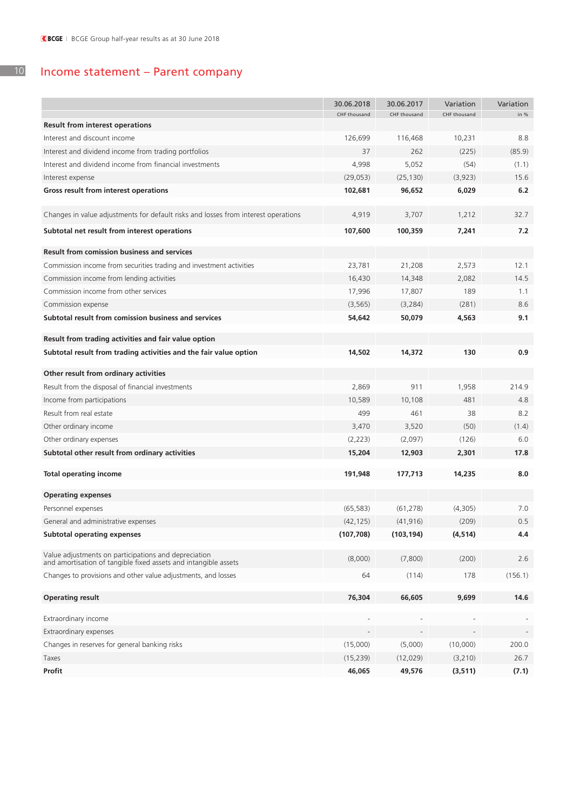#### 10 Income statement – Parent company

|                                                                                                                         | 30.06.2018   | 30.06.2017   | Variation    | Variation |
|-------------------------------------------------------------------------------------------------------------------------|--------------|--------------|--------------|-----------|
|                                                                                                                         | CHF thousand | CHF thousand | CHF thousand | in %      |
| <b>Result from interest operations</b>                                                                                  |              |              |              |           |
| Interest and discount income                                                                                            | 126,699      | 116,468      | 10,231       | 8.8       |
| Interest and dividend income from trading portfolios                                                                    | 37           | 262          | (225)        | (85.9)    |
| Interest and dividend income from financial investments                                                                 | 4,998        | 5,052        | (54)         | (1.1)     |
| Interest expense                                                                                                        | (29,053)     | (25, 130)    | (3,923)      | 15.6      |
| Gross result from interest operations                                                                                   | 102,681      | 96,652       | 6,029        | 6.2       |
| Changes in value adjustments for default risks and losses from interest operations                                      | 4,919        | 3,707        | 1,212        | 32.7      |
| Subtotal net result from interest operations                                                                            | 107,600      | 100,359      | 7,241        | 7.2       |
|                                                                                                                         |              |              |              |           |
| <b>Result from comission business and services</b>                                                                      |              |              |              |           |
| Commission income from securities trading and investment activities                                                     | 23,781       | 21,208       | 2,573        | 12.1      |
| Commission income from lending activities                                                                               | 16,430       | 14,348       | 2,082        | 14.5      |
| Commission income from other services                                                                                   | 17,996       | 17,807       | 189          | 1.1       |
| Commission expense                                                                                                      | (3, 565)     | (3, 284)     | (281)        | 8.6       |
| Subtotal result from comission business and services                                                                    | 54,642       | 50,079       | 4,563        | 9.1       |
| Result from trading activities and fair value option                                                                    |              |              |              |           |
| Subtotal result from trading activities and the fair value option                                                       | 14,502       | 14,372       | 130          | 0.9       |
|                                                                                                                         |              |              |              |           |
| Other result from ordinary activities                                                                                   |              |              |              |           |
| Result from the disposal of financial investments                                                                       | 2,869        | 911          | 1,958        | 214.9     |
| Income from participations                                                                                              | 10,589       | 10,108       | 481          | 4.8       |
| Result from real estate                                                                                                 | 499          | 461          | 38           | 8.2       |
| Other ordinary income                                                                                                   | 3,470        | 3,520        | (50)         | (1.4)     |
| Other ordinary expenses                                                                                                 | (2,223)      | (2,097)      | (126)        | 6.0       |
| Subtotal other result from ordinary activities                                                                          | 15,204       | 12,903       | 2,301        | 17.8      |
| <b>Total operating income</b>                                                                                           | 191,948      |              | 14,235       | 8.0       |
|                                                                                                                         |              | 177,713      |              |           |
| <b>Operating expenses</b>                                                                                               |              |              |              |           |
| Personnel expenses                                                                                                      | (65, 583)    | (61, 278)    | (4,305)      | 7.0       |
| General and administrative expenses                                                                                     | (42, 125)    | (41, 916)    | (209)        | 0.5       |
| <b>Subtotal operating expenses</b>                                                                                      | (107, 708)   | (103, 194)   | (4, 514)     | 4.4       |
|                                                                                                                         |              |              |              |           |
| Value adjustments on participations and depreciation<br>and amortisation of tangible fixed assets and intangible assets | (8,000)      | (7,800)      | (200)        | 2.6       |
| Changes to provisions and other value adjustments, and losses                                                           | 64           | (114)        | 178          | (156.1)   |
| <b>Operating result</b>                                                                                                 | 76,304       | 66,605       | 9,699        | 14.6      |
|                                                                                                                         |              |              |              |           |
| Extraordinary income                                                                                                    |              |              |              |           |
| Extraordinary expenses                                                                                                  |              |              |              |           |
| Changes in reserves for general banking risks                                                                           | (15,000)     | (5,000)      | (10,000)     | 200.0     |
| Taxes                                                                                                                   | (15, 239)    | (12,029)     | (3, 210)     | 26.7      |
| Profit                                                                                                                  | 46,065       | 49,576       | (3, 511)     | (7.1)     |